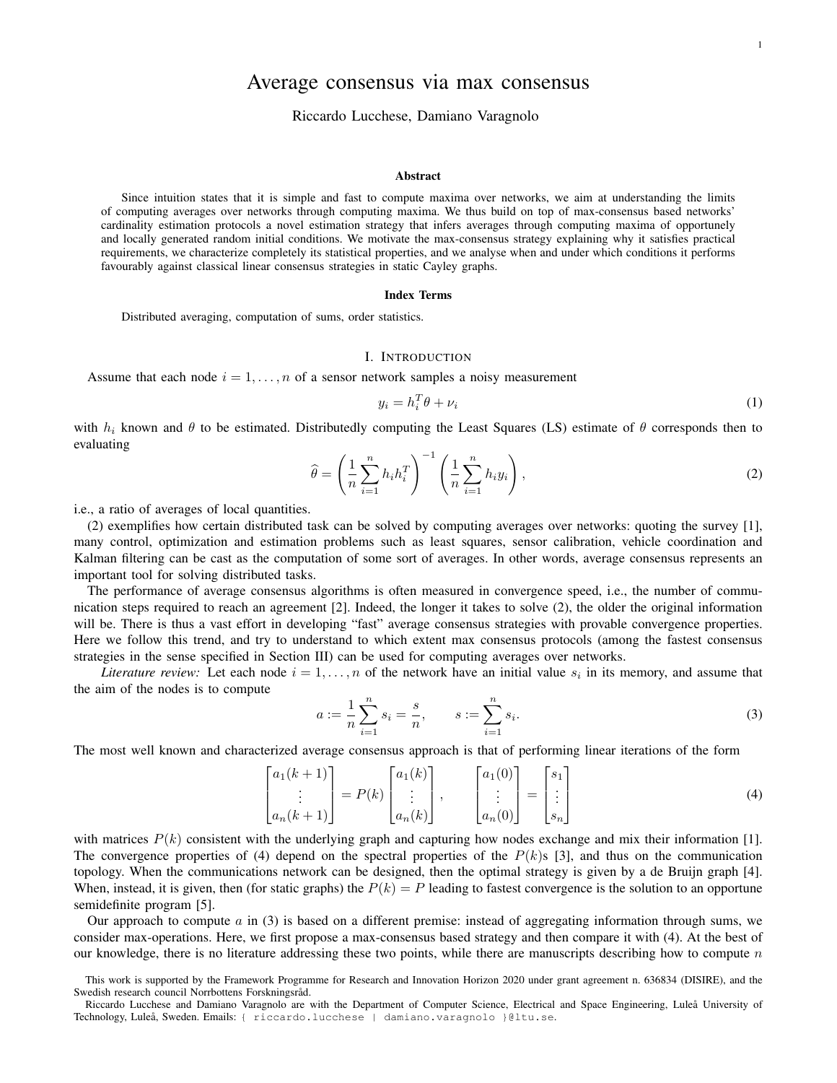# Average consensus via max consensus

### Riccardo Lucchese, Damiano Varagnolo

#### Abstract

Since intuition states that it is simple and fast to compute maxima over networks, we aim at understanding the limits of computing averages over networks through computing maxima. We thus build on top of max-consensus based networks' cardinality estimation protocols a novel estimation strategy that infers averages through computing maxima of opportunely and locally generated random initial conditions. We motivate the max-consensus strategy explaining why it satisfies practical requirements, we characterize completely its statistical properties, and we analyse when and under which conditions it performs favourably against classical linear consensus strategies in static Cayley graphs.

#### Index Terms

Distributed averaging, computation of sums, order statistics.

 $\mathbf{r}$ 

 $\mathcal{L} = \mathcal{L}$ 

### I. INTRODUCTION

Assume that each node  $i = 1, \ldots, n$  of a sensor network samples a noisy measurement

$$
y_i = h_i^T \theta + \nu_i \tag{1}
$$

with  $h_i$  known and  $\theta$  to be estimated. Distributedly computing the Least Squares (LS) estimate of  $\theta$  corresponds then to evaluating

$$
\widehat{\theta} = \left(\frac{1}{n}\sum_{i=1}^{n} h_i h_i^T\right)^{-1} \left(\frac{1}{n}\sum_{i=1}^{n} h_i y_i\right),\tag{2}
$$

i.e., a ratio of averages of local quantities.

(2) exemplifies how certain distributed task can be solved by computing averages over networks: quoting the survey [1], many control, optimization and estimation problems such as least squares, sensor calibration, vehicle coordination and Kalman filtering can be cast as the computation of some sort of averages. In other words, average consensus represents an important tool for solving distributed tasks.

The performance of average consensus algorithms is often measured in convergence speed, i.e., the number of communication steps required to reach an agreement [2]. Indeed, the longer it takes to solve (2), the older the original information will be. There is thus a vast effort in developing "fast" average consensus strategies with provable convergence properties. Here we follow this trend, and try to understand to which extent max consensus protocols (among the fastest consensus strategies in the sense specified in Section III) can be used for computing averages over networks.

*Literature review:* Let each node  $i = 1, \ldots, n$  of the network have an initial value  $s_i$  in its memory, and assume that the aim of the nodes is to compute

$$
a := \frac{1}{n} \sum_{i=1}^{n} s_i = \frac{s}{n}, \qquad s := \sum_{i=1}^{n} s_i.
$$
 (3)

The most well known and characterized average consensus approach is that of performing linear iterations of the form

 $\sim$ 

 $\sim$ 

$$
\begin{bmatrix} a_1(k+1) \\ \vdots \\ a_n(k+1) \end{bmatrix} = P(k) \begin{bmatrix} a_1(k) \\ \vdots \\ a_n(k) \end{bmatrix}, \qquad \begin{bmatrix} a_1(0) \\ \vdots \\ a_n(0) \end{bmatrix} = \begin{bmatrix} s_1 \\ \vdots \\ s_n \end{bmatrix}
$$
 (4)

 $\sim$   $-$ 

with matrices  $P(k)$  consistent with the underlying graph and capturing how nodes exchange and mix their information [1]. The convergence properties of (4) depend on the spectral properties of the  $P(k)$ s [3], and thus on the communication topology. When the communications network can be designed, then the optimal strategy is given by a de Bruijn graph [4]. When, instead, it is given, then (for static graphs) the  $P(k) = P$  leading to fastest convergence is the solution to an opportune semidefinite program [5].

Our approach to compute  $a$  in (3) is based on a different premise: instead of aggregating information through sums, we consider max-operations. Here, we first propose a max-consensus based strategy and then compare it with (4). At the best of our knowledge, there is no literature addressing these two points, while there are manuscripts describing how to compute  $n$ 

This work is supported by the Framework Programme for Research and Innovation Horizon 2020 under grant agreement n. 636834 (DISIRE), and the Swedish research council Norrbottens Forskningsråd.

Riccardo Lucchese and Damiano Varagnolo are with the Department of Computer Science, Electrical and Space Engineering, Luleå University of Technology, Luleå, Sweden. Emails: { riccardo.lucchese | damiano.varagnolo }@ltu.se.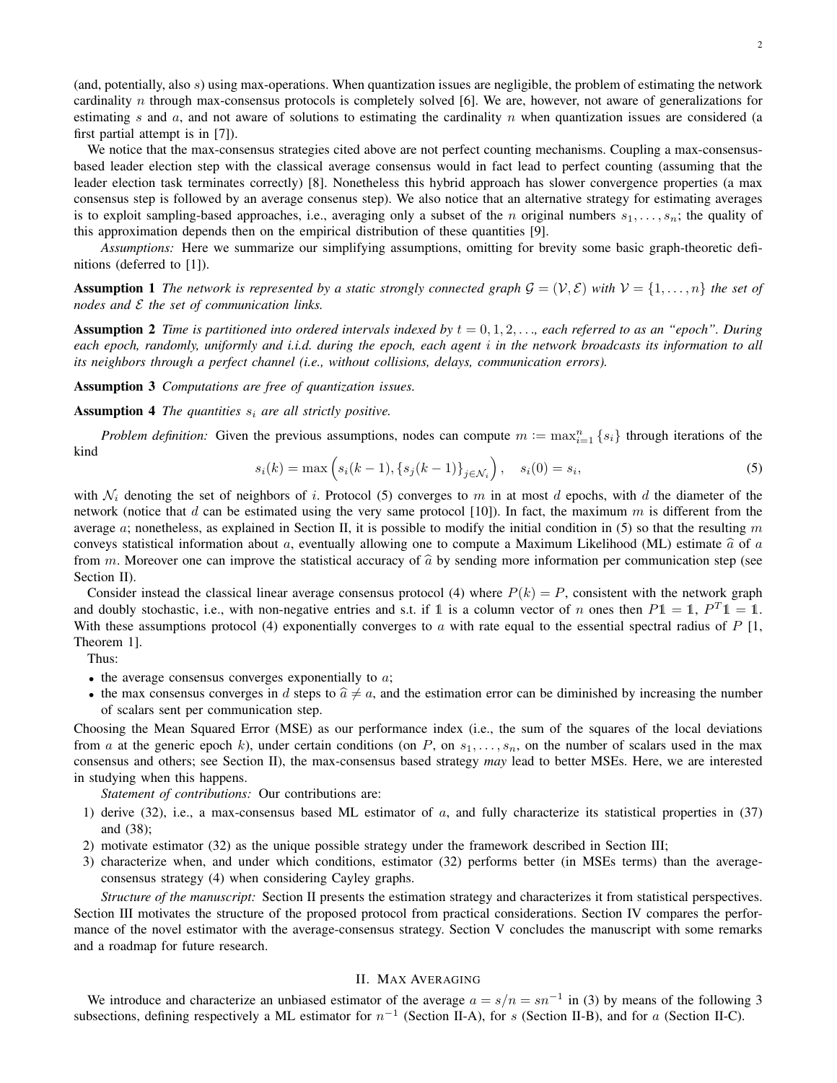(and, potentially, also s) using max-operations. When quantization issues are negligible, the problem of estimating the network cardinality n through max-consensus protocols is completely solved [6]. We are, however, not aware of generalizations for estimating s and  $a$ , and not aware of solutions to estimating the cardinality n when quantization issues are considered (a first partial attempt is in [7]).

We notice that the max-consensus strategies cited above are not perfect counting mechanisms. Coupling a max-consensusbased leader election step with the classical average consensus would in fact lead to perfect counting (assuming that the leader election task terminates correctly) [8]. Nonetheless this hybrid approach has slower convergence properties (a max consensus step is followed by an average consenus step). We also notice that an alternative strategy for estimating averages is to exploit sampling-based approaches, i.e., averaging only a subset of the n original numbers  $s_1, \ldots, s_n$ ; the quality of this approximation depends then on the empirical distribution of these quantities [9].

*Assumptions:* Here we summarize our simplifying assumptions, omitting for brevity some basic graph-theoretic definitions (deferred to [1]).

**Assumption 1** The network is represented by a static strongly connected graph  $\mathcal{G} = (\mathcal{V}, \mathcal{E})$  with  $\mathcal{V} = \{1, \ldots, n\}$  the set of *nodes and* E *the set of communication links.*

**Assumption 2** *Time is partitioned into ordered intervals indexed by*  $t = 0, 1, 2, \ldots$ , *each referred to as an "epoch". During each epoch, randomly, uniformly and i.i.d. during the epoch, each agent* i *in the network broadcasts its information to all its neighbors through a perfect channel (i.e., without collisions, delays, communication errors).*

Assumption 3 *Computations are free of quantization issues.*

**Assumption 4** *The quantities*  $s_i$  *are all strictly positive.* 

*Problem definition:* Given the previous assumptions, nodes can compute  $m := \max_{i=1}^n \{s_i\}$  through iterations of the kind

$$
s_i(k) = \max\left(s_i(k-1), \{s_j(k-1)\}_{j \in \mathcal{N}_i}\right), \quad s_i(0) = s_i,
$$
\n(5)

with  $\mathcal{N}_i$  denoting the set of neighbors of i. Protocol (5) converges to m in at most d epochs, with d the diameter of the network (notice that d can be estimated using the very same protocol [10]). In fact, the maximum  $m$  is different from the average a; nonetheless, as explained in Section II, it is possible to modify the initial condition in (5) so that the resulting m conveys statistical information about a, eventually allowing one to compute a Maximum Likelihood (ML) estimate  $\hat{a}$  of a from m. Moreover one can improve the statistical accuracy of  $\hat{a}$  by sending more information per communication step (see Section II).

Consider instead the classical linear average consensus protocol (4) where  $P(k) = P$ , consistent with the network graph and doubly stochastic, i.e., with non-negative entries and s.t. if 1 is a column vector of n ones then  $P1 = 1$ ,  $P^T1 = 1$ . With these assumptions protocol (4) exponentially converges to a with rate equal to the essential spectral radius of  $P \upharpoonright 1$ , Theorem 1].

Thus:

- $\bullet$  the average consensus converges exponentially to  $\alpha$ ;
- the max consensus converges in d steps to  $\hat{a} \neq a$ , and the estimation error can be diminished by increasing the number of scalars sent per communication step.

Choosing the Mean Squared Error (MSE) as our performance index (i.e., the sum of the squares of the local deviations from a at the generic epoch k), under certain conditions (on P, on  $s_1, \ldots, s_n$ , on the number of scalars used in the max consensus and others; see Section II), the max-consensus based strategy *may* lead to better MSEs. Here, we are interested in studying when this happens.

*Statement of contributions:* Our contributions are:

- 1) derive (32), i.e., a max-consensus based ML estimator of  $a$ , and fully characterize its statistical properties in (37) and (38);
- 2) motivate estimator (32) as the unique possible strategy under the framework described in Section III;
- 3) characterize when, and under which conditions, estimator (32) performs better (in MSEs terms) than the averageconsensus strategy (4) when considering Cayley graphs.

*Structure of the manuscript:* Section II presents the estimation strategy and characterizes it from statistical perspectives. Section III motivates the structure of the proposed protocol from practical considerations. Section IV compares the performance of the novel estimator with the average-consensus strategy. Section V concludes the manuscript with some remarks and a roadmap for future research.

### II. MAX AVERAGING

We introduce and characterize an unbiased estimator of the average  $a = s/n = sn^{-1}$  in (3) by means of the following 3 subsections, defining respectively a ML estimator for  $n^{-1}$  (Section II-A), for s (Section II-B), and for a (Section II-C).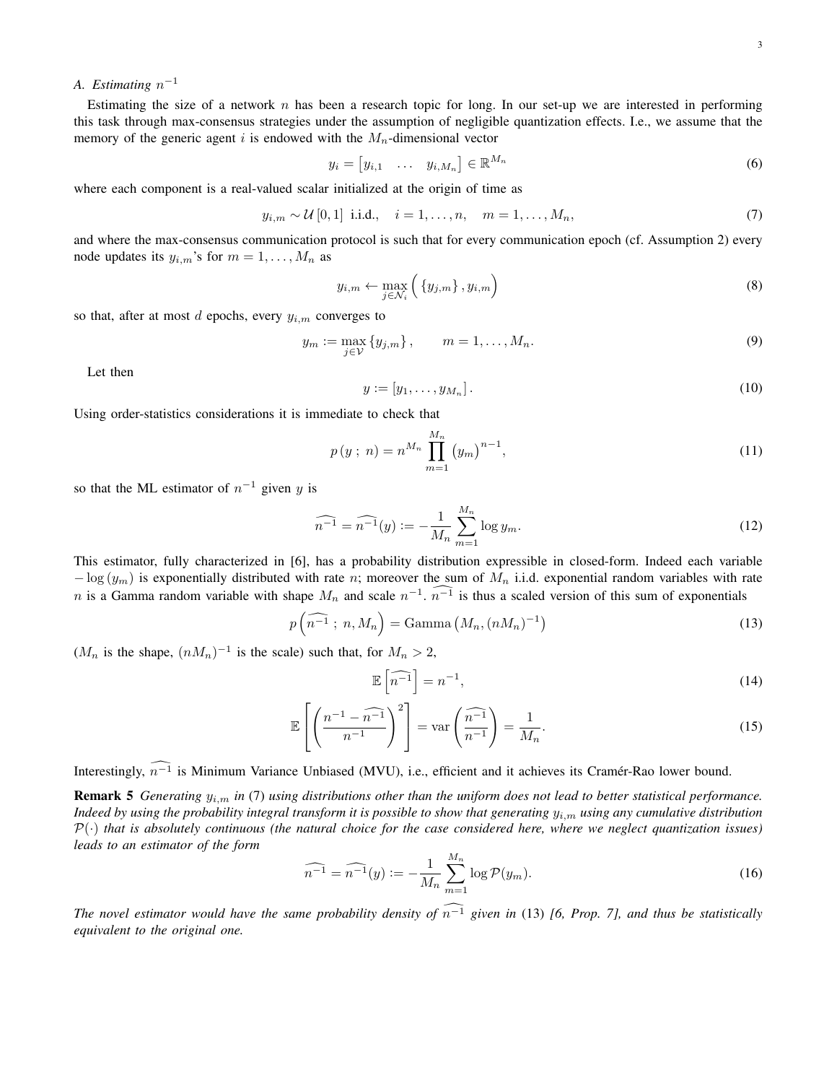## A. Estimating  $n^{-1}$

Estimating the size of a network  $n$  has been a research topic for long. In our set-up we are interested in performing this task through max-consensus strategies under the assumption of negligible quantization effects. I.e., we assume that the memory of the generic agent i is endowed with the  $M_n$ -dimensional vector

$$
y_i = [y_{i,1} \quad \dots \quad y_{i,M_n}] \in \mathbb{R}^{M_n} \tag{6}
$$

where each component is a real-valued scalar initialized at the origin of time as

$$
y_{i,m} \sim \mathcal{U}[0,1]
$$
 i.i.d.,  $i = 1, ..., n, m = 1, ..., M_n,$  (7)

and where the max-consensus communication protocol is such that for every communication epoch (cf. Assumption 2) every node updates its  $y_{i,m}$ 's for  $m = 1, \ldots, M_n$  as

$$
y_{i,m} \leftarrow \max_{j \in \mathcal{N}_i} \left( \{ y_{j,m} \}, y_{i,m} \right) \tag{8}
$$

so that, after at most  $d$  epochs, every  $y_{i,m}$  converges to

$$
y_m := \max_{j \in \mathcal{V}} \{y_{j,m}\}, \qquad m = 1, \dots, M_n.
$$
 (9)

Let then

$$
y := [y_1, \dots, y_{M_n}]. \tag{10}
$$

Using order-statistics considerations it is immediate to check that

$$
p(y \; ; \; n) = n^{M_n} \prod_{m=1}^{M_n} (y_m)^{n-1}, \tag{11}
$$

so that the ML estimator of  $n^{-1}$  given y is

$$
\widehat{n^{-1}} = \widehat{n^{-1}}(y) := -\frac{1}{M_n} \sum_{m=1}^{M_n} \log y_m.
$$
\n(12)

This estimator, fully characterized in [6], has a probability distribution expressible in closed-form. Indeed each variable  $-\log(y_m)$  is exponentially distributed with rate n; moreover the sum of  $M_n$  i.i.d. exponential random variables with rate n is a Gamma random variable with shape  $M_n$  and scale  $n^{-1}$ .  $n^{-1}$  is thus a scaled version of this sum of exponentials

$$
p\left(\widehat{n^{-1}}\,;\,n,M_n\right) = \text{Gamma}\left(M_n,(nM_n)^{-1}\right) \tag{13}
$$

 $(M_n$  is the shape,  $(nM_n)^{-1}$  is the scale) such that, for  $M_n > 2$ ,

$$
\mathbb{E}\left[\widehat{n^{-1}}\right] = n^{-1},\tag{14}
$$

$$
\mathbb{E}\left[\left(\frac{n^{-1}-n^{-1}}{n^{-1}}\right)^2\right] = \text{var}\left(\widehat{\frac{n^{-1}}{n^{-1}}}\right) = \frac{1}{M_n}.\tag{15}
$$

Interestingly,  $\widehat{n^{-1}}$  is Minimum Variance Unbiased (MVU), i.e., efficient and it achieves its Cramér-Rao lower bound.

Remark 5 *Generating* yi,m *in* (7) *using distributions other than the uniform does not lead to better statistical performance. Indeed by using the probability integral transform it is possible to show that generating*  $y_{i,m}$  *using any cumulative distribution*  $P(\cdot)$  *that is absolutely continuous (the natural choice for the case considered here, where we neglect quantization issues) leads to an estimator of the form*

$$
\widehat{n^{-1}} = \widehat{n^{-1}}(y) := -\frac{1}{M_n} \sum_{m=1}^{M_n} \log \mathcal{P}(y_m).
$$
\n(16)

*The novel estimator would have the same probability density of*  $\widehat{n-1}$  *given in* (13) *[6, Prop. 7], and thus be statistically equivalent to the original one.*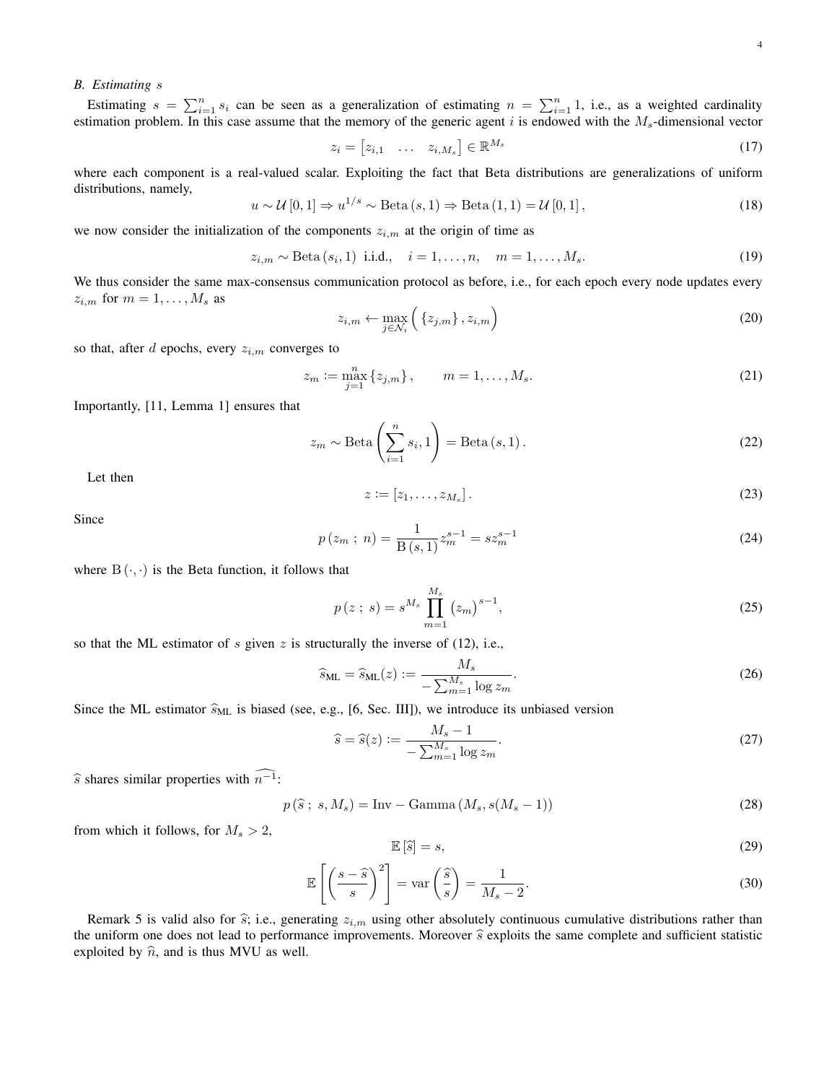#### *B. Estimating* s

Estimating  $s = \sum_{i=1}^{n} s_i$  can be seen as a generalization of estimating  $n = \sum_{i=1}^{n} 1$ , i.e., as a weighted cardinality estimation problem. In this case assume that the memory of the generic agent i is endowed with the  $M_s$ -dimensional vector

$$
z_i = [z_{i,1} \quad \dots \quad z_{i,M_s}] \in \mathbb{R}^{M_s} \tag{17}
$$

where each component is a real-valued scalar. Exploiting the fact that Beta distributions are generalizations of uniform distributions, namely,

$$
u \sim \mathcal{U}[0,1] \Rightarrow u^{1/s} \sim \text{Beta}(s,1) \Rightarrow \text{Beta}(1,1) = \mathcal{U}[0,1],\tag{18}
$$

we now consider the initialization of the components  $z_{i,m}$  at the origin of time as

$$
z_{i,m} \sim \text{Beta}(s_i, 1) \text{ i.i.d., } i = 1, ..., n, \quad m = 1, ..., M_s.
$$
 (19)

We thus consider the same max-consensus communication protocol as before, i.e., for each epoch every node updates every  $z_{i,m}$  for  $m=1,\ldots,M_s$  as

$$
z_{i,m} \leftarrow \max_{j \in \mathcal{N}_i} \left( \left\{ z_{j,m} \right\}, z_{i,m} \right) \tag{20}
$$

so that, after  $d$  epochs, every  $z_{i,m}$  converges to

$$
z_m := \max_{j=1}^n \{z_{j,m}\}, \qquad m = 1, \dots, M_s.
$$
 (21)

Importantly, [11, Lemma 1] ensures that

$$
z_m \sim \text{Beta}\left(\sum_{i=1}^n s_i, 1\right) = \text{Beta}\left(s, 1\right). \tag{22}
$$

Let then

$$
z := [z_1, \dots, z_{M_s}]. \tag{23}
$$

Since

$$
p(z_m ; n) = \frac{1}{B(s, 1)} z_m^{s-1} = s z_m^{s-1}
$$
\n(24)

where  $B(\cdot, \cdot)$  is the Beta function, it follows that

$$
p(z; s) = s^{M_s} \prod_{m=1}^{M_s} (z_m)^{s-1},
$$
\n(25)

so that the ML estimator of s given z is structurally the inverse of  $(12)$ , i.e.,

$$
\widehat{s}_{\text{ML}} = \widehat{s}_{\text{ML}}(z) := \frac{M_s}{-\sum_{m=1}^{M_s} \log z_m}.
$$
\n(26)

Since the ML estimator  $\hat{s}_{ML}$  is biased (see, e.g., [6, Sec. III]), we introduce its unbiased version

$$
\widehat{s} = \widehat{s}(z) := \frac{M_s - 1}{-\sum_{m=1}^{M_s} \log z_m}.\tag{27}
$$

 $\widehat{s}$  shares similar properties with  $\widehat{n^{-1}}$ :

$$
p(\hat{s} ; s, M_s) = \text{Inv} - \text{Gamma}(M_s, s(M_s - 1))
$$
\n(28)

from which it follows, for  $M_s > 2$ ,

$$
\mathbb{E}\left[\widehat{s}\right] = s,\tag{29}
$$

$$
\mathbb{E}\left[\left(\frac{s-\hat{s}}{s}\right)^2\right] = \text{var}\left(\frac{\hat{s}}{s}\right) = \frac{1}{M_s - 2}.\tag{30}
$$

Remark 5 is valid also for  $\hat{s}$ ; i.e., generating  $z_{i,m}$  using other absolutely continuous cumulative distributions rather than the uniform one does not lead to performance improvements. Moreover  $\hat{s}$  exploits the same complete and sufficient statistic exploited by  $\hat{n}$ , and is thus MVU as well.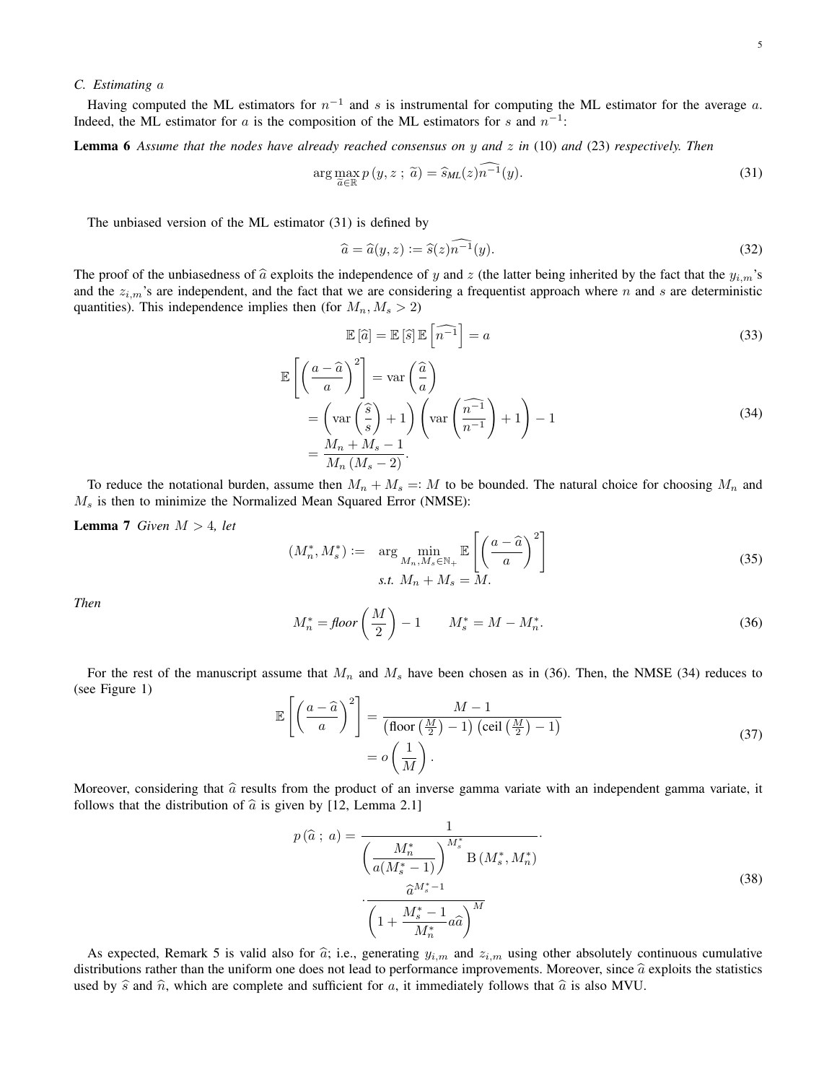### *C. Estimating* a

Having computed the ML estimators for  $n^{-1}$  and s is instrumental for computing the ML estimator for the average a. Indeed, the ML estimator for a is the composition of the ML estimators for s and  $n^{-1}$ :

Lemma 6 *Assume that the nodes have already reached consensus on* y *and* z *in* (10) *and* (23) *respectively. Then*

$$
\arg\max_{\widetilde{a}\in\mathbb{R}} p(y,z\,;\,\widetilde{a}) = \widehat{s}_{ML}(z)\widehat{n^{-1}}(y). \tag{31}
$$

The unbiased version of the ML estimator (31) is defined by

$$
\widehat{a} = \widehat{a}(y, z) := \widehat{s}(z)\widehat{n^{-1}}(y). \tag{32}
$$

The proof of the unbiasedness of  $\hat{a}$  exploits the independence of y and z (the latter being inherited by the fact that the  $y_{i,m}$ 's and the  $z_{i,m}$ 's are independent, and the fact that we are considering a frequentist approach where n and s are deterministic quantities). This independence implies then (for  $M_n, M_s > 2$ )

$$
\mathbb{E}\left[\widehat{a}\right] = \mathbb{E}\left[\widehat{s}\right]\mathbb{E}\left[\widehat{n^{-1}}\right] = a \tag{33}
$$

$$
\mathbb{E}\left[\left(\frac{a-\hat{a}}{a}\right)^2\right] = \text{var}\left(\frac{\hat{a}}{a}\right)
$$
  
=  $\left(\text{var}\left(\frac{\hat{s}}{s}\right) + 1\right) \left(\text{var}\left(\frac{\hat{n}-1}{n-1}\right) + 1\right) - 1$   
=  $\frac{M_n + M_s - 1}{M_n (M_s - 2)}$ . (34)

To reduce the notational burden, assume then  $M_n + M_s = M$  to be bounded. The natural choice for choosing  $M_n$  and  $M<sub>s</sub>$  is then to minimize the Normalized Mean Squared Error (NMSE):

**Lemma 7** *Given*  $M > 4$ *, let* 

$$
(M_n^*, M_s^*) := \arg\min_{M_n, M_s \in \mathbb{N}_+} \mathbb{E}\left[\left(\frac{a-\widehat{a}}{a}\right)^2\right]
$$
  
s.t.  $M_n + M_s = M$ . (35)

*Then*

$$
M_n^* = \text{floor}\left(\frac{M}{2}\right) - 1 \qquad M_s^* = M - M_n^*.
$$
\n
$$
(36)
$$

For the rest of the manuscript assume that  $M_n$  and  $M_s$  have been chosen as in (36). Then, the NMSE (34) reduces to (see Figure 1)

$$
\mathbb{E}\left[\left(\frac{a-\hat{a}}{a}\right)^2\right] = \frac{M-1}{(\text{floor}\left(\frac{M}{2}\right)-1)\left(\text{ceil}\left(\frac{M}{2}\right)-1\right)} = o\left(\frac{1}{M}\right). \tag{37}
$$

Moreover, considering that  $\hat{a}$  results from the product of an inverse gamma variate with an independent gamma variate, it follows that the distribution of  $\hat{a}$  is given by [12, Lemma 2.1]

$$
p\left(\hat{a} \; ; \; a\right) = \frac{1}{\left(\frac{M_n^*}{a\left(M_s^* - 1\right)}\right)^{M_s^*} \mathcal{B}\left(M_s^*, M_n^*\right)} \cdot \frac{\hat{a}^{M_s^* - 1}}{\left(1 + \frac{M_s^* - 1}{M_n^*} a\hat{a}\right)^M} \tag{38}
$$

As expected, Remark 5 is valid also for  $\hat{a}$ ; i.e., generating  $y_{i,m}$  and  $z_{i,m}$  using other absolutely continuous cumulative distributions rather than the uniform one does not lead to performance improvements. Moreover, since  $\hat{a}$  exploits the statistics used by  $\hat{s}$  and  $\hat{n}$ , which are complete and sufficient for a, it immediately follows that  $\hat{a}$  is also MVU.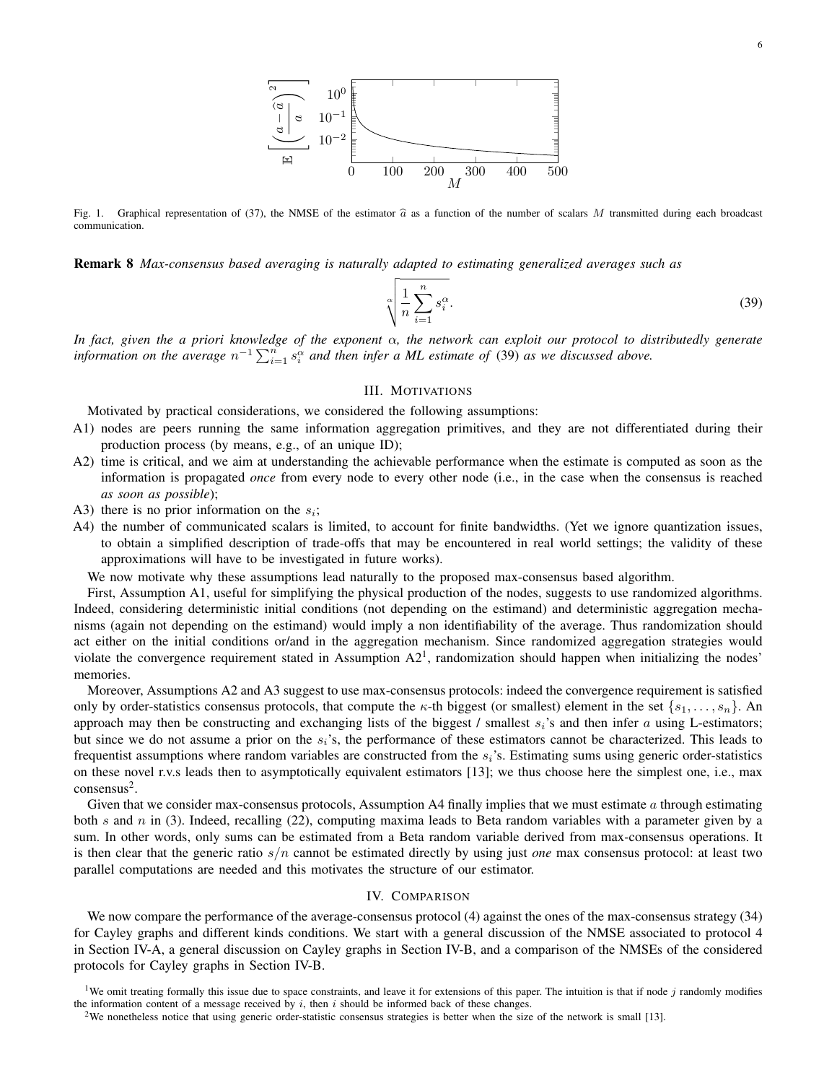

Fig. 1. Graphical representation of (37), the NMSE of the estimator  $\hat{a}$  as a function of the number of scalars M transmitted during each broadcast communication.

Remark 8 *Max-consensus based averaging is naturally adapted to estimating generalized averages such as*

$$
\sqrt[\alpha]{\frac{1}{n}\sum_{i=1}^{n} s_i^{\alpha}}.
$$
\n(39)

*In fact, given the a priori knowledge of the exponent* α*, the network can exploit our protocol to distributedly generate information on the average*  $n^{-1} \sum_{i=1}^{n} s_i^{\alpha}$  *and then infer a ML estimate of* (39) *as we discussed above.* 

### III. MOTIVATIONS

Motivated by practical considerations, we considered the following assumptions:

- A1) nodes are peers running the same information aggregation primitives, and they are not differentiated during their production process (by means, e.g., of an unique ID);
- A2) time is critical, and we aim at understanding the achievable performance when the estimate is computed as soon as the information is propagated *once* from every node to every other node (i.e., in the case when the consensus is reached *as soon as possible*);
- A3) there is no prior information on the  $s_i$ ;
- A4) the number of communicated scalars is limited, to account for finite bandwidths. (Yet we ignore quantization issues, to obtain a simplified description of trade-offs that may be encountered in real world settings; the validity of these approximations will have to be investigated in future works).

We now motivate why these assumptions lead naturally to the proposed max-consensus based algorithm.

First, Assumption A1, useful for simplifying the physical production of the nodes, suggests to use randomized algorithms. Indeed, considering deterministic initial conditions (not depending on the estimand) and deterministic aggregation mechanisms (again not depending on the estimand) would imply a non identifiability of the average. Thus randomization should act either on the initial conditions or/and in the aggregation mechanism. Since randomized aggregation strategies would violate the convergence requirement stated in Assumption  $A2<sup>1</sup>$ , randomization should happen when initializing the nodes' memories.

Moreover, Assumptions A2 and A3 suggest to use max-consensus protocols: indeed the convergence requirement is satisfied only by order-statistics consensus protocols, that compute the  $\kappa$ -th biggest (or smallest) element in the set  $\{s_1, \ldots, s_n\}$ . An approach may then be constructing and exchanging lists of the biggest / smallest  $s_i$ 's and then infer a using L-estimators; but since we do not assume a prior on the  $s_i$ 's, the performance of these estimators cannot be characterized. This leads to frequentist assumptions where random variables are constructed from the  $s_i$ 's. Estimating sums using generic order-statistics on these novel r.v.s leads then to asymptotically equivalent estimators [13]; we thus choose here the simplest one, i.e., max  $consensus<sup>2</sup>$ .

Given that we consider max-consensus protocols, Assumption A4 finally implies that we must estimate  $a$  through estimating both s and n in (3). Indeed, recalling (22), computing maxima leads to Beta random variables with a parameter given by a sum. In other words, only sums can be estimated from a Beta random variable derived from max-consensus operations. It is then clear that the generic ratio s/n cannot be estimated directly by using just *one* max consensus protocol: at least two parallel computations are needed and this motivates the structure of our estimator.

#### IV. COMPARISON

We now compare the performance of the average-consensus protocol (4) against the ones of the max-consensus strategy (34) for Cayley graphs and different kinds conditions. We start with a general discussion of the NMSE associated to protocol 4 in Section IV-A, a general discussion on Cayley graphs in Section IV-B, and a comparison of the NMSEs of the considered protocols for Cayley graphs in Section IV-B.

<sup>&</sup>lt;sup>1</sup>We omit treating formally this issue due to space constraints, and leave it for extensions of this paper. The intuition is that if node  $j$  randomly modifies the information content of a message received by  $i$ , then  $i$  should be informed back of these changes.

<sup>&</sup>lt;sup>2</sup>We nonetheless notice that using generic order-statistic consensus strategies is better when the size of the network is small [13].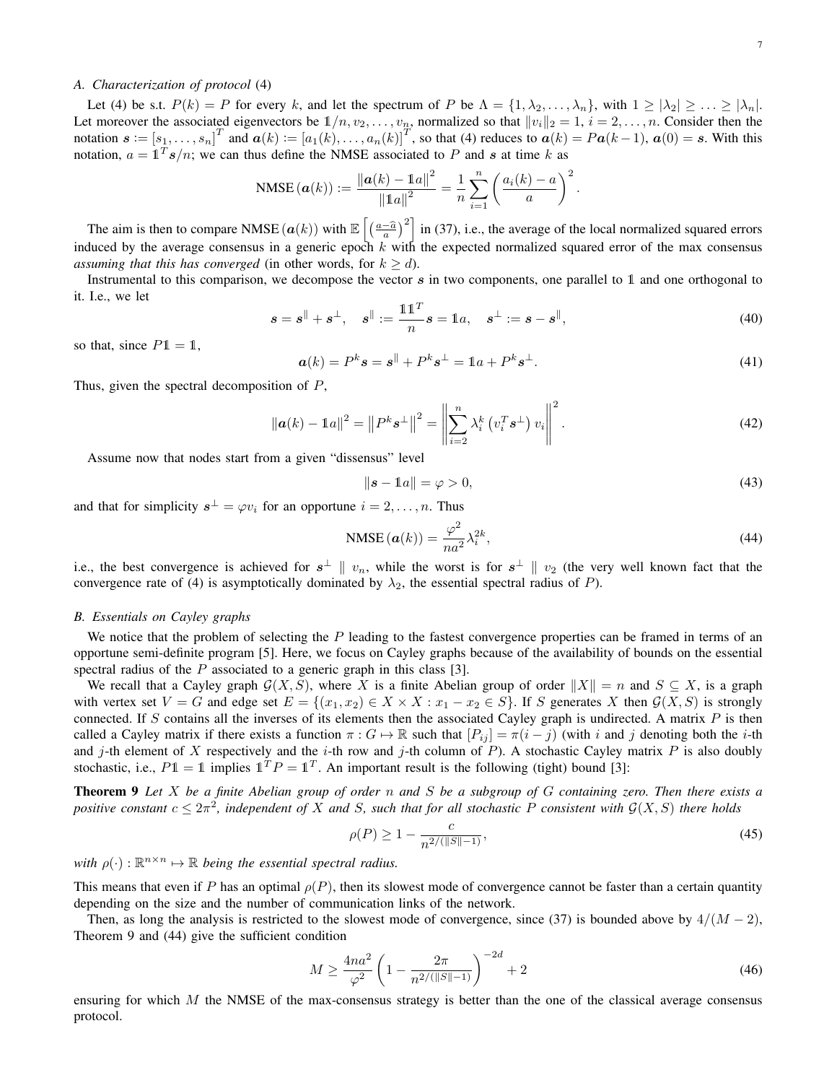### *A. Characterization of protocol* (4)

Let (4) be s.t.  $P(k) = P$  for every k, and let the spectrum of P be  $\Lambda = \{1, \lambda_2, ..., \lambda_n\}$ , with  $1 \geq |\lambda_2| \geq ... \geq |\lambda_n|$ . Let moreover the associated eigenvectors be  $1/n, v_2, \ldots, v_n$ , normalized so that  $||v_i||_2 = 1$ ,  $i = 2, \ldots, n$ . Consider then the notation  $\mathbf{s} := [s_1, \ldots, s_n]^T$  and  $\mathbf{a}(k) := [a_1(k), \ldots, a_n(k)]^T$ , so that (4) reduces to  $\mathbf{a}(k) = P\mathbf{a}(k-1)$ ,  $\mathbf{a}(0) = \mathbf{s}$ . With this notation,  $a = \mathbf{1}^T s/n$ ; we can thus define the NMSE associated to P and s at time k as

NMSE 
$$
(a(k)) := \frac{\|a(k) - \mathbb{1}a\|^2}{\|\mathbb{1}a\|^2} = \frac{1}{n} \sum_{i=1}^n \left(\frac{a_i(k) - a}{a}\right)^2
$$
.

The aim is then to compare NMSE  $(a(k))$  with  $\mathbb{E}\left[\left(\frac{a-\widehat{a}}{a}\right)^2\right]$  in (37), i.e., the average of the local normalized squared errors induced by the average consensus in a generic epoch  $k$  with the expected normalized squared error of the max consensus *assuming that this has converged* (in other words, for  $k \ge d$ ).

Instrumental to this comparison, we decompose the vector  $s$  in two components, one parallel to  $\mathbb 1$  and one orthogonal to it. I.e., we let

$$
s = s^{\parallel} + s^{\perp}, \quad s^{\parallel} := \frac{\mathbb{1}\mathbb{1}^T}{n} s = \mathbb{1}a, \quad s^{\perp} := s - s^{\parallel}, \tag{40}
$$

so that, since  $P1 = 1$ ,

$$
\mathbf{a}(k) = P^k \mathbf{s} = \mathbf{s}^{\parallel} + P^k \mathbf{s}^{\perp} = \mathbb{1}a + P^k \mathbf{s}^{\perp}.
$$
\n<sup>(41)</sup>

Thus, given the spectral decomposition of P,

$$
\|\mathbf{a}(k) - \mathbf{1}a\|^2 = \|P^k \mathbf{s}^\perp\|^2 = \left\|\sum_{i=2}^n \lambda_i^k \left(v_i^T \mathbf{s}^\perp\right) v_i\right\|^2.
$$
 (42)

Assume now that nodes start from a given "dissensus" level

$$
\|\mathbf{s} - \mathbf{1}a\| = \varphi > 0,\tag{43}
$$

and that for simplicity  $s^{\perp} = \varphi v_i$  for an opportune  $i = 2, \ldots, n$ . Thus

$$
\text{NMSE}\left(\boldsymbol{a}(k)\right) = \frac{\varphi^2}{na^2} \lambda_i^{2k},\tag{44}
$$

i.e., the best convergence is achieved for  $s^{\perp} \parallel v_n$ , while the worst is for  $s^{\perp} \parallel v_2$  (the very well known fact that the convergence rate of (4) is asymptotically dominated by  $\lambda_2$ , the essential spectral radius of P).

### *B. Essentials on Cayley graphs*

We notice that the problem of selecting the  $P$  leading to the fastest convergence properties can be framed in terms of an opportune semi-definite program [5]. Here, we focus on Cayley graphs because of the availability of bounds on the essential spectral radius of the  $P$  associated to a generic graph in this class [3].

We recall that a Cayley graph  $\mathcal{G}(X, S)$ , where X is a finite Abelian group of order  $||X|| = n$  and  $S \subseteq X$ , is a graph with vertex set  $V = G$  and edge set  $E = \{(x_1, x_2) \in X \times X : x_1 - x_2 \in S\}$ . If S generates X then  $\mathcal{G}(X, S)$  is strongly connected. If S contains all the inverses of its elements then the associated Cayley graph is undirected. A matrix  $P$  is then called a Cayley matrix if there exists a function  $\pi: G \mapsto \mathbb{R}$  such that  $[P_{ij}] = \pi(i - j)$  (with i and j denoting both the i-th and j-th element of X respectively and the *i*-th row and j-th column of  $P$ ). A stochastic Cayley matrix  $P$  is also doubly stochastic, i.e.,  $P1 = 1$  implies  $1^T P = 1^T$ . An important result is the following (tight) bound [3]:

Theorem 9 *Let* X *be a finite Abelian group of order* n *and* S *be a subgroup of* G *containing zero. Then there exists a*  $p$ *ositive constant*  $c \leq 2\pi^2$ , independent of X and S, such that for all stochastic P consistent with  $\mathcal{G}(X, S)$  there holds

$$
\rho(P) \ge 1 - \frac{c}{n^{2/(\|S\|-1)}},\tag{45}
$$

with  $\rho(\cdot): \mathbb{R}^{n \times n} \mapsto \mathbb{R}$  *being the essential spectral radius.* 

This means that even if P has an optimal  $\rho(P)$ , then its slowest mode of convergence cannot be faster than a certain quantity depending on the size and the number of communication links of the network.

Then, as long the analysis is restricted to the slowest mode of convergence, since (37) is bounded above by  $4/(M-2)$ , Theorem 9 and (44) give the sufficient condition

$$
M \ge \frac{4na^2}{\varphi^2} \left( 1 - \frac{2\pi}{n^{2/(\|S\|-1)}} \right)^{-2d} + 2 \tag{46}
$$

ensuring for which  $M$  the NMSE of the max-consensus strategy is better than the one of the classical average consensus protocol.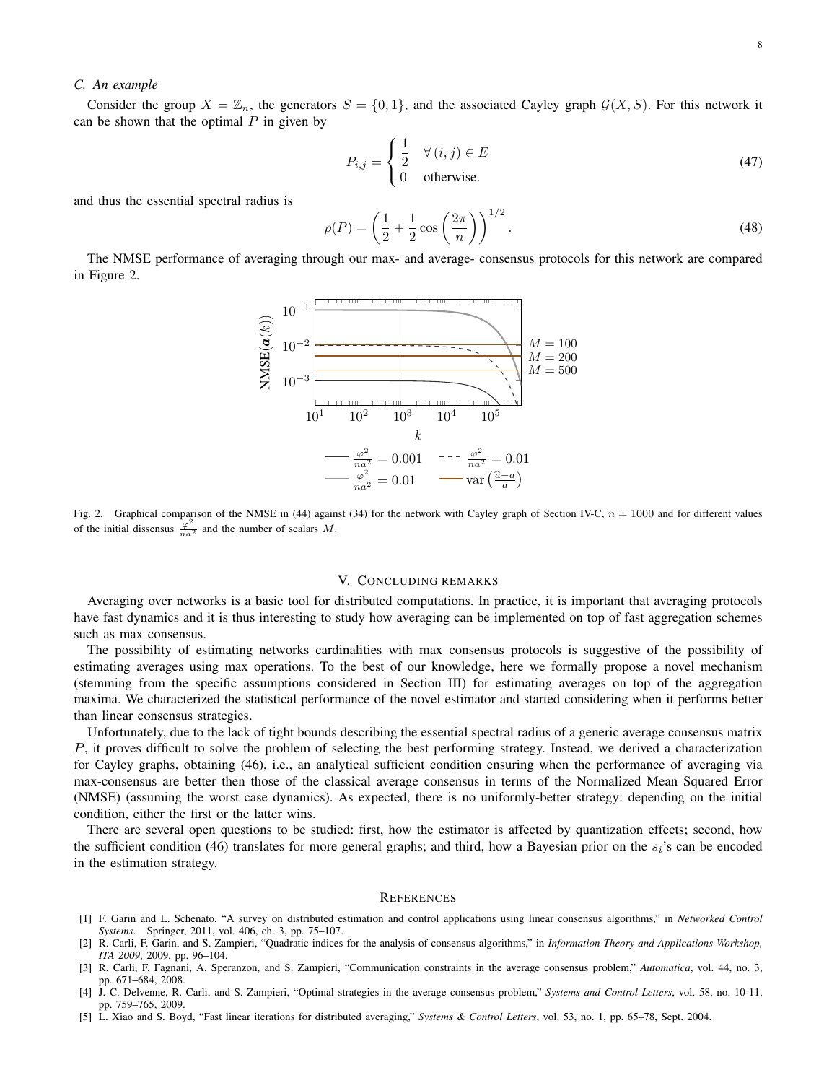### *C. An example*

Consider the group  $X = \mathbb{Z}_n$ , the generators  $S = \{0, 1\}$ , and the associated Cayley graph  $\mathcal{G}(X, S)$ . For this network it can be shown that the optimal  $P$  in given by

$$
P_{i,j} = \begin{cases} \frac{1}{2} & \forall (i,j) \in E \\ 0 & \text{otherwise.} \end{cases}
$$
 (47)

and thus the essential spectral radius is

$$
\rho(P) = \left(\frac{1}{2} + \frac{1}{2}\cos\left(\frac{2\pi}{n}\right)\right)^{1/2}.\tag{48}
$$

The NMSE performance of averaging through our max- and average- consensus protocols for this network are compared in Figure 2.



Fig. 2. Graphical comparison of the NMSE in (44) against (34) for the network with Cayley graph of Section IV-C,  $n = 1000$  and for different values of the initial dissensus  $\frac{\varphi^2}{na^2}$  and the number of scalars M.

### V. CONCLUDING REMARKS

Averaging over networks is a basic tool for distributed computations. In practice, it is important that averaging protocols have fast dynamics and it is thus interesting to study how averaging can be implemented on top of fast aggregation schemes such as max consensus.

The possibility of estimating networks cardinalities with max consensus protocols is suggestive of the possibility of estimating averages using max operations. To the best of our knowledge, here we formally propose a novel mechanism (stemming from the specific assumptions considered in Section III) for estimating averages on top of the aggregation maxima. We characterized the statistical performance of the novel estimator and started considering when it performs better than linear consensus strategies.

Unfortunately, due to the lack of tight bounds describing the essential spectral radius of a generic average consensus matrix P, it proves difficult to solve the problem of selecting the best performing strategy. Instead, we derived a characterization for Cayley graphs, obtaining (46), i.e., an analytical sufficient condition ensuring when the performance of averaging via max-consensus are better then those of the classical average consensus in terms of the Normalized Mean Squared Error (NMSE) (assuming the worst case dynamics). As expected, there is no uniformly-better strategy: depending on the initial condition, either the first or the latter wins.

There are several open questions to be studied: first, how the estimator is affected by quantization effects; second, how the sufficient condition (46) translates for more general graphs; and third, how a Bayesian prior on the  $s_i$ 's can be encoded in the estimation strategy.

#### **REFERENCES**

- [1] F. Garin and L. Schenato, "A survey on distributed estimation and control applications using linear consensus algorithms," in *Networked Control Systems*. Springer, 2011, vol. 406, ch. 3, pp. 75–107.
- [2] R. Carli, F. Garin, and S. Zampieri, "Quadratic indices for the analysis of consensus algorithms," in *Information Theory and Applications Workshop, ITA 2009*, 2009, pp. 96–104.
- [3] R. Carli, F. Fagnani, A. Speranzon, and S. Zampieri, "Communication constraints in the average consensus problem," *Automatica*, vol. 44, no. 3, pp. 671–684, 2008.
- [4] J. C. Delvenne, R. Carli, and S. Zampieri, "Optimal strategies in the average consensus problem," *Systems and Control Letters*, vol. 58, no. 10-11, pp. 759–765, 2009.
- [5] L. Xiao and S. Boyd, "Fast linear iterations for distributed averaging," *Systems & Control Letters*, vol. 53, no. 1, pp. 65–78, Sept. 2004.